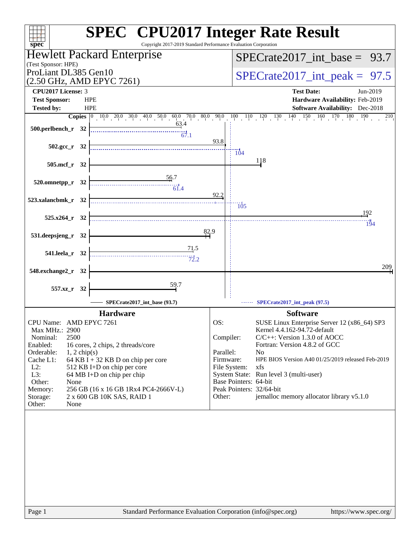| Copyright 2017-2019 Standard Performance Evaluation Corporation<br>$spec^*$               | <b>SPEC<sup>®</sup></b> CPU2017 Integer Rate Result                                                                                                                        |
|-------------------------------------------------------------------------------------------|----------------------------------------------------------------------------------------------------------------------------------------------------------------------------|
| Hewlett Packard Enterprise                                                                | $SPECTate2017\_int\_base = 93.7$                                                                                                                                           |
| (Test Sponsor: HPE)                                                                       |                                                                                                                                                                            |
| ProLiant DL385 Gen10<br>(2.50 GHz, AMD EPYC 7261)                                         | $SPECTate2017\_int\_peak = 97.5$                                                                                                                                           |
| CPU2017 License: 3                                                                        | <b>Test Date:</b><br>Jun-2019                                                                                                                                              |
| <b>Test Sponsor:</b><br><b>HPE</b>                                                        | Hardware Availability: Feb-2019                                                                                                                                            |
| <b>HPE</b><br><b>Tested by:</b>                                                           | <b>Software Availability:</b> Dec-2018                                                                                                                                     |
| 63.4                                                                                      | <b>Copies</b> $\begin{bmatrix} 0 & 10 & 0 & 20 & 0 & 30 & 40 & 50 & 0 & 60 & 70 & 80 & 90 & 10 & 110 & 120 & 130 & 140 & 150 & 160 & 170 & 180 & 190 \end{bmatrix}$<br>210 |
| 500.perlbench_r 32                                                                        |                                                                                                                                                                            |
|                                                                                           | 93.8                                                                                                                                                                       |
| $502.\text{gcc r}$ 32                                                                     | $\overline{104}$                                                                                                                                                           |
| 505.mcf_r 32                                                                              | 118                                                                                                                                                                        |
|                                                                                           |                                                                                                                                                                            |
| <u>56</u> .7<br>520.omnetpp_r 32                                                          |                                                                                                                                                                            |
|                                                                                           |                                                                                                                                                                            |
| 523.xalancbmk_r 32                                                                        | 92.2<br>$\frac{1}{105}$                                                                                                                                                    |
|                                                                                           | 192                                                                                                                                                                        |
| $525.x264$ r 32                                                                           | 194                                                                                                                                                                        |
| 82.9<br>531.deepsjeng_r 32                                                                |                                                                                                                                                                            |
|                                                                                           |                                                                                                                                                                            |
| $\frac{71.5}{2}$<br>541.leela_r 32                                                        |                                                                                                                                                                            |
|                                                                                           |                                                                                                                                                                            |
| 548.exchange2_r 32                                                                        | 209                                                                                                                                                                        |
| 59.7                                                                                      |                                                                                                                                                                            |
| 557.xz_r 32                                                                               |                                                                                                                                                                            |
| SPECrate2017_int_base (93.7)                                                              | <b>SPECrate2017_int_peak (97.5)</b>                                                                                                                                        |
| <b>Hardware</b>                                                                           | <b>Software</b>                                                                                                                                                            |
| CPU Name: AMD EPYC 7261                                                                   | OS:<br>SUSE Linux Enterprise Server 12 (x86_64) SP3                                                                                                                        |
| Max MHz.: 2900<br>2500<br>Nominal:                                                        | Kernel 4.4.162-94.72-default<br>Compiler:<br>$C/C++$ : Version 1.3.0 of AOCC                                                                                               |
| Enabled:<br>16 cores, 2 chips, 2 threads/core                                             | Fortran: Version 4.8.2 of GCC                                                                                                                                              |
| Orderable:<br>$1, 2$ chip(s)                                                              | Parallel:<br>N <sub>0</sub>                                                                                                                                                |
| 64 KB I + 32 KB D on chip per core<br>Cache L1:<br>$L2$ :<br>512 KB I+D on chip per core  | Firmware:<br>HPE BIOS Version A40 01/25/2019 released Feb-2019<br>File System:<br>xfs                                                                                      |
| L3:<br>64 MB I+D on chip per chip                                                         | System State: Run level 3 (multi-user)                                                                                                                                     |
| Other:<br>None                                                                            | Base Pointers: 64-bit                                                                                                                                                      |
| 256 GB (16 x 16 GB 1Rx4 PC4-2666V-L)<br>Memory:<br>2 x 600 GB 10K SAS, RAID 1<br>Storage: | Peak Pointers: 32/64-bit<br>jemalloc memory allocator library v5.1.0<br>Other:                                                                                             |
| Other:<br>None                                                                            |                                                                                                                                                                            |
|                                                                                           |                                                                                                                                                                            |
|                                                                                           |                                                                                                                                                                            |
|                                                                                           |                                                                                                                                                                            |
|                                                                                           |                                                                                                                                                                            |
|                                                                                           |                                                                                                                                                                            |
|                                                                                           |                                                                                                                                                                            |
|                                                                                           |                                                                                                                                                                            |
|                                                                                           |                                                                                                                                                                            |
|                                                                                           |                                                                                                                                                                            |
|                                                                                           |                                                                                                                                                                            |
| Standard Performance Evaluation Corporation (info@spec.org)<br>Page 1                     | https://www.spec.org/                                                                                                                                                      |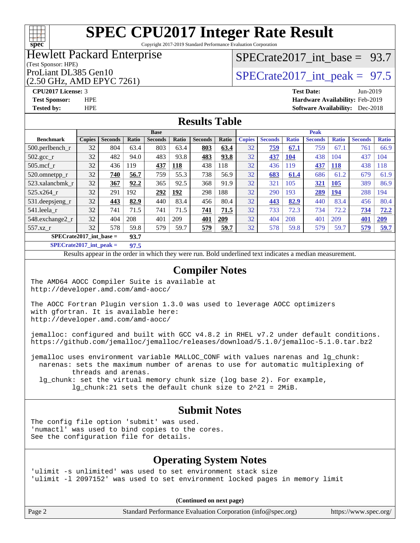# **[spec](http://www.spec.org/)**

# **[SPEC CPU2017 Integer Rate Result](http://www.spec.org/auto/cpu2017/Docs/result-fields.html#SPECCPU2017IntegerRateResult)**

Copyright 2017-2019 Standard Performance Evaluation Corporation

#### Hewlett Packard Enterprise

#### (Test Sponsor: HPE)

(2.50 GHz, AMD EPYC 7261)

[SPECrate2017\\_int\\_base =](http://www.spec.org/auto/cpu2017/Docs/result-fields.html#SPECrate2017intbase) 93.7

### ProLiant DL385 Gen10  $SPECTR_{26} \times S_{26}$  SPECrate2017 int\_peak = 97.5

**[CPU2017 License:](http://www.spec.org/auto/cpu2017/Docs/result-fields.html#CPU2017License)** 3 **[Test Date:](http://www.spec.org/auto/cpu2017/Docs/result-fields.html#TestDate)** Jun-2019 **[Test Sponsor:](http://www.spec.org/auto/cpu2017/Docs/result-fields.html#TestSponsor)** HPE **[Hardware Availability:](http://www.spec.org/auto/cpu2017/Docs/result-fields.html#HardwareAvailability)** Feb-2019 **[Tested by:](http://www.spec.org/auto/cpu2017/Docs/result-fields.html#Testedby)** HPE **[Software Availability:](http://www.spec.org/auto/cpu2017/Docs/result-fields.html#SoftwareAvailability)** Dec-2018

#### **[Results Table](http://www.spec.org/auto/cpu2017/Docs/result-fields.html#ResultsTable)**

|                    | <b>Base</b>                       |                |       |                |       |                | <b>Peak</b> |               |                |              |                |              |                |              |
|--------------------|-----------------------------------|----------------|-------|----------------|-------|----------------|-------------|---------------|----------------|--------------|----------------|--------------|----------------|--------------|
| <b>Benchmark</b>   | <b>Copies</b>                     | <b>Seconds</b> | Ratio | <b>Seconds</b> | Ratio | <b>Seconds</b> | Ratio       | <b>Copies</b> | <b>Seconds</b> | <b>Ratio</b> | <b>Seconds</b> | <b>Ratio</b> | <b>Seconds</b> | <b>Ratio</b> |
| $500$ .perlbench r | 32                                | 804            | 63.4  | 803            | 63.4  | 803            | 63.4        | 32            | 759            | 67.1         | 759            | 67.1         | 761            | 66.9         |
| $502.\text{sec}$   | 32                                | 482            | 94.0  | 483            | 93.8  | 483            | 93.8        | 32            | 437            | <b>104</b>   | 438            | 104          | 437            | 104          |
| $505$ .mcf r       | 32                                | 436            | 119   | 437            | 118   | 438            | 118         | 32            | 436            | 119          | 437            | 118          | 438            | 118          |
| 520.omnetpp_r      | 32                                | 740            | 56.7  | 759            | 55.3  | 738            | 56.9        | 32            | 683            | 61.4         | 686            | 61.2         | 679            | 61.9         |
| 523.xalancbmk r    | 32                                | 367            | 92.2  | 365            | 92.5  | 368            | 91.9        | 32            | 321            | 105          | 321            | <b>105</b>   | 389            | 86.9         |
| 525.x264 r         | 32                                | 291            | 192   | 292            | 192   | 298            | 188         | 32            | 290            | 193          | 289            | 194          | 288            | 194          |
| 531.deepsjeng_r    | 32                                | 443            | 82.9  | 440            | 83.4  | 456            | 80.4        | 32            | 443            | 82.9         | 440            | 83.4         | 456            | 80.4         |
| 541.leela r        | 32                                | 741            | 71.5  | 741            | 71.5  | 741            | 71.5        | 32            | 733            | 72.3         | 734            | 72.2         | 734            | 72.2         |
| 548.exchange2_r    | 32                                | 404            | 208   | 401            | 209   | 401            | 209         | 32            | 404            | 208          | 401            | 209          | 401            | 209          |
| 557.xz r           | 32                                | 578            | 59.8  | 579            | 59.7  | 579            | 59.7        | 32            | 578            | 59.8         | 579            | 59.7         | 579            | 59.7         |
|                    | $SPECrate2017$ int base =<br>93.7 |                |       |                |       |                |             |               |                |              |                |              |                |              |

**[SPECrate2017\\_int\\_peak =](http://www.spec.org/auto/cpu2017/Docs/result-fields.html#SPECrate2017intpeak) 97.5**

Results appear in the [order in which they were run.](http://www.spec.org/auto/cpu2017/Docs/result-fields.html#RunOrder) Bold underlined text [indicates a median measurement.](http://www.spec.org/auto/cpu2017/Docs/result-fields.html#Median)

#### **[Compiler Notes](http://www.spec.org/auto/cpu2017/Docs/result-fields.html#CompilerNotes)**

The AMD64 AOCC Compiler Suite is available at <http://developer.amd.com/amd-aocc/>

The AOCC Fortran Plugin version 1.3.0 was used to leverage AOCC optimizers with gfortran. It is available here: <http://developer.amd.com/amd-aocc/>

jemalloc: configured and built with GCC v4.8.2 in RHEL v7.2 under default conditions. <https://github.com/jemalloc/jemalloc/releases/download/5.1.0/jemalloc-5.1.0.tar.bz2>

jemalloc uses environment variable MALLOC\_CONF with values narenas and lg\_chunk: narenas: sets the maximum number of arenas to use for automatic multiplexing of threads and arenas.

 lg\_chunk: set the virtual memory chunk size (log base 2). For example, lg\_chunk:21 sets the default chunk size to 2^21 = 2MiB.

#### **[Submit Notes](http://www.spec.org/auto/cpu2017/Docs/result-fields.html#SubmitNotes)**

The config file option 'submit' was used. 'numactl' was used to bind copies to the cores. See the configuration file for details.

### **[Operating System Notes](http://www.spec.org/auto/cpu2017/Docs/result-fields.html#OperatingSystemNotes)**

'ulimit -s unlimited' was used to set environment stack size 'ulimit -l 2097152' was used to set environment locked pages in memory limit

**(Continued on next page)**

Page 2 Standard Performance Evaluation Corporation [\(info@spec.org\)](mailto:info@spec.org) <https://www.spec.org/>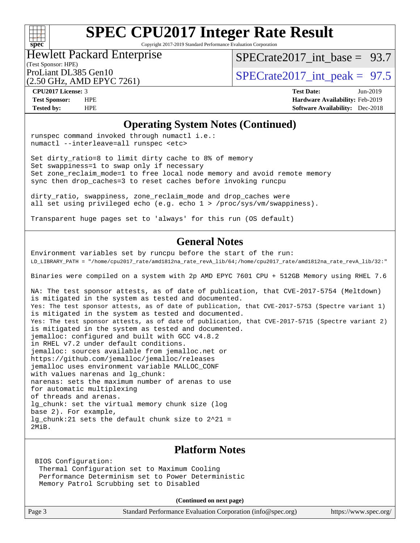

Copyright 2017-2019 Standard Performance Evaluation Corporation

#### (Test Sponsor: HPE) Hewlett Packard Enterprise

SPECrate2017 int\_base =  $93.7$ 

(2.50 GHz, AMD EPYC 7261)

ProLiant DL385 Gen10  $SPECTA = 97.5$ <br>SPECrate2017 int\_peak = 97.5

**[CPU2017 License:](http://www.spec.org/auto/cpu2017/Docs/result-fields.html#CPU2017License)** 3 **[Test Date:](http://www.spec.org/auto/cpu2017/Docs/result-fields.html#TestDate)** Jun-2019 **[Test Sponsor:](http://www.spec.org/auto/cpu2017/Docs/result-fields.html#TestSponsor)** HPE **[Hardware Availability:](http://www.spec.org/auto/cpu2017/Docs/result-fields.html#HardwareAvailability)** Feb-2019 **[Tested by:](http://www.spec.org/auto/cpu2017/Docs/result-fields.html#Testedby)** HPE **[Software Availability:](http://www.spec.org/auto/cpu2017/Docs/result-fields.html#SoftwareAvailability)** Dec-2018

#### **[Operating System Notes \(Continued\)](http://www.spec.org/auto/cpu2017/Docs/result-fields.html#OperatingSystemNotes)**

runspec command invoked through numactl i.e.: numactl --interleave=all runspec <etc>

Set dirty\_ratio=8 to limit dirty cache to 8% of memory Set swappiness=1 to swap only if necessary Set zone reclaim mode=1 to free local node memory and avoid remote memory sync then drop\_caches=3 to reset caches before invoking runcpu

dirty\_ratio, swappiness, zone\_reclaim\_mode and drop\_caches were all set using privileged echo (e.g. echo 1 > /proc/sys/vm/swappiness).

Transparent huge pages set to 'always' for this run (OS default)

### **[General Notes](http://www.spec.org/auto/cpu2017/Docs/result-fields.html#GeneralNotes)**

Environment variables set by runcpu before the start of the run: LD\_LIBRARY\_PATH = "/home/cpu2017\_rate/amd1812na\_rate\_revA\_lib/64;/home/cpu2017\_rate/amd1812na\_rate\_revA\_lib/32:"

Binaries were compiled on a system with 2p AMD EPYC 7601 CPU + 512GB Memory using RHEL 7.6

NA: The test sponsor attests, as of date of publication, that CVE-2017-5754 (Meltdown) is mitigated in the system as tested and documented. Yes: The test sponsor attests, as of date of publication, that CVE-2017-5753 (Spectre variant 1) is mitigated in the system as tested and documented. Yes: The test sponsor attests, as of date of publication, that CVE-2017-5715 (Spectre variant 2) is mitigated in the system as tested and documented. jemalloc: configured and built with GCC v4.8.2 in RHEL v7.2 under default conditions. jemalloc: sources available from jemalloc.net or <https://github.com/jemalloc/jemalloc/releases> jemalloc uses environment variable MALLOC\_CONF with values narenas and lg\_chunk: narenas: sets the maximum number of arenas to use for automatic multiplexing of threads and arenas. lg\_chunk: set the virtual memory chunk size (log base 2). For example, lg\_chunk:21 sets the default chunk size to 2^21 = 2MiB.

#### **[Platform Notes](http://www.spec.org/auto/cpu2017/Docs/result-fields.html#PlatformNotes)**

 BIOS Configuration: Thermal Configuration set to Maximum Cooling Performance Determinism set to Power Deterministic Memory Patrol Scrubbing set to Disabled

**(Continued on next page)**

Page 3 Standard Performance Evaluation Corporation [\(info@spec.org\)](mailto:info@spec.org) <https://www.spec.org/>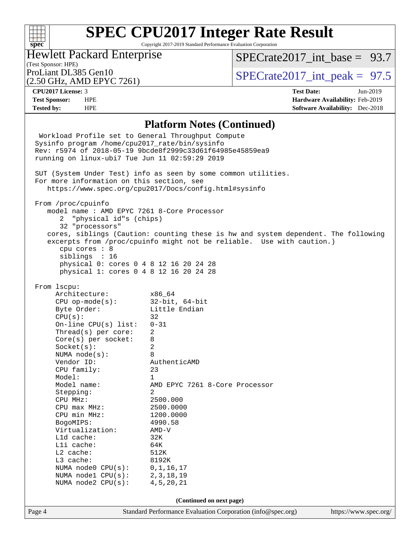### $+\hskip -1.5pt +\hskip -1.5pt +$ **[spec](http://www.spec.org/)**

# **[SPEC CPU2017 Integer Rate Result](http://www.spec.org/auto/cpu2017/Docs/result-fields.html#SPECCPU2017IntegerRateResult)**

Copyright 2017-2019 Standard Performance Evaluation Corporation

### Hewlett Packard Enterprise

[SPECrate2017\\_int\\_base =](http://www.spec.org/auto/cpu2017/Docs/result-fields.html#SPECrate2017intbase) 93.7

### (Test Sponsor: HPE)

(2.50 GHz, AMD EPYC 7261)

ProLiant DL385 Gen10  $SPECTR_{26} \times S_{26}$  SPECrate2017 int\_peak = 97.5

**[CPU2017 License:](http://www.spec.org/auto/cpu2017/Docs/result-fields.html#CPU2017License)** 3 **[Test Date:](http://www.spec.org/auto/cpu2017/Docs/result-fields.html#TestDate)** Jun-2019 **[Test Sponsor:](http://www.spec.org/auto/cpu2017/Docs/result-fields.html#TestSponsor)** HPE **[Hardware Availability:](http://www.spec.org/auto/cpu2017/Docs/result-fields.html#HardwareAvailability)** Feb-2019 **[Tested by:](http://www.spec.org/auto/cpu2017/Docs/result-fields.html#Testedby)** HPE **[Software Availability:](http://www.spec.org/auto/cpu2017/Docs/result-fields.html#SoftwareAvailability)** Dec-2018

#### **[Platform Notes \(Continued\)](http://www.spec.org/auto/cpu2017/Docs/result-fields.html#PlatformNotes)**

Page 4 Standard Performance Evaluation Corporation [\(info@spec.org\)](mailto:info@spec.org) <https://www.spec.org/> Workload Profile set to General Throughput Compute Sysinfo program /home/cpu2017\_rate/bin/sysinfo Rev: r5974 of 2018-05-19 9bcde8f2999c33d61f64985e45859ea9 running on linux-ubi7 Tue Jun 11 02:59:29 2019 SUT (System Under Test) info as seen by some common utilities. For more information on this section, see <https://www.spec.org/cpu2017/Docs/config.html#sysinfo> From /proc/cpuinfo model name : AMD EPYC 7261 8-Core Processor 2 "physical id"s (chips) 32 "processors" cores, siblings (Caution: counting these is hw and system dependent. The following excerpts from /proc/cpuinfo might not be reliable. Use with caution.) cpu cores : 8 siblings : 16 physical 0: cores 0 4 8 12 16 20 24 28 physical 1: cores 0 4 8 12 16 20 24 28 From lscpu: Architecture: x86\_64 CPU op-mode(s): 32-bit, 64-bit Byte Order: Little Endian  $CPU(s):$  32 On-line CPU(s) list: 0-31 Thread(s) per core: 2 Core(s) per socket: 8 Socket(s): 2 NUMA node(s): 8 Vendor ID: AuthenticAMD CPU family: 23 Model: 1 Model name: AMD EPYC 7261 8-Core Processor Stepping: 2 CPU MHz: 2500.000 CPU max MHz: 2500.0000 CPU min MHz: 1200.0000 BogoMIPS: 4990.58 Virtualization: AMD-V L1d cache: 32K L1i cache: 64K L2 cache: 512K L3 cache: 8192K NUMA node0 CPU(s): 0,1,16,17 NUMA node1 CPU(s): 2,3,18,19 NUMA node2 CPU(s): 4,5,20,21 **(Continued on next page)**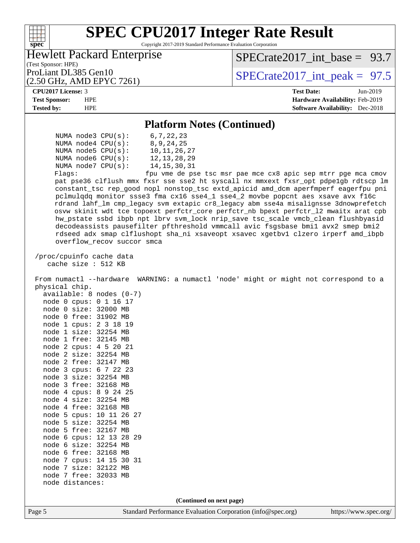| <b>SPEC CPU2017 Integer Rate Result</b>                                                                                                                                                                                                                                                                                                                                                                                                                                                                                                                                                                                                                                                                                                                                                                                                                                                                                                                        |                                                               |
|----------------------------------------------------------------------------------------------------------------------------------------------------------------------------------------------------------------------------------------------------------------------------------------------------------------------------------------------------------------------------------------------------------------------------------------------------------------------------------------------------------------------------------------------------------------------------------------------------------------------------------------------------------------------------------------------------------------------------------------------------------------------------------------------------------------------------------------------------------------------------------------------------------------------------------------------------------------|---------------------------------------------------------------|
| Copyright 2017-2019 Standard Performance Evaluation Corporation<br>spec <sup>®</sup>                                                                                                                                                                                                                                                                                                                                                                                                                                                                                                                                                                                                                                                                                                                                                                                                                                                                           |                                                               |
| <b>Hewlett Packard Enterprise</b>                                                                                                                                                                                                                                                                                                                                                                                                                                                                                                                                                                                                                                                                                                                                                                                                                                                                                                                              | $SPECTate2017$ int base = 93.7                                |
| (Test Sponsor: HPE)<br>ProLiant DL385 Gen10<br>(2.50 GHz, AMD EPYC 7261)                                                                                                                                                                                                                                                                                                                                                                                                                                                                                                                                                                                                                                                                                                                                                                                                                                                                                       | $SPECTate2017\_int\_peak = 97.5$                              |
| CPU2017 License: 3                                                                                                                                                                                                                                                                                                                                                                                                                                                                                                                                                                                                                                                                                                                                                                                                                                                                                                                                             | <b>Test Date:</b><br>Jun-2019                                 |
| <b>Test Sponsor:</b><br><b>HPE</b>                                                                                                                                                                                                                                                                                                                                                                                                                                                                                                                                                                                                                                                                                                                                                                                                                                                                                                                             | Hardware Availability: Feb-2019                               |
| <b>Tested by:</b><br><b>HPE</b>                                                                                                                                                                                                                                                                                                                                                                                                                                                                                                                                                                                                                                                                                                                                                                                                                                                                                                                                | <b>Software Availability:</b> Dec-2018                        |
| <b>Platform Notes (Continued)</b>                                                                                                                                                                                                                                                                                                                                                                                                                                                                                                                                                                                                                                                                                                                                                                                                                                                                                                                              |                                                               |
| 6, 7, 22, 23<br>NUMA $node3$ $CPU(s)$ :<br>8, 9, 24, 25<br>NUMA $node4$ $CPU(s)$ :<br>10, 11, 26, 27<br>NUMA node5 $CPU(s):$<br>NUMA node6 CPU(s):<br>12, 13, 28, 29<br>NUMA node7 CPU(s):<br>14, 15, 30, 31<br>Flags:<br>pat pse36 clflush mmx fxsr sse sse2 ht syscall nx mmxext fxsr_opt pdpelgb rdtscp lm<br>constant_tsc rep_good nopl nonstop_tsc extd_apicid amd_dcm aperfmperf eagerfpu pni<br>pclmulqdq monitor ssse3 fma cx16 sse4_1 sse4_2 movbe popcnt aes xsave avx f16c<br>rdrand lahf_lm cmp_legacy svm extapic cr8_legacy abm sse4a misalignsse 3dnowprefetch<br>osvw skinit wdt tce topoext perfctr_core perfctr_nb bpext perfctr_12 mwaitx arat cpb<br>hw_pstate ssbd ibpb npt lbrv svm_lock nrip_save tsc_scale vmcb_clean flushbyasid<br>decodeassists pausefilter pfthreshold vmmcall avic fsgsbase bmil avx2 smep bmi2<br>rdseed adx smap clflushopt sha_ni xsaveopt xsavec xgetbvl clzero irperf amd_ibpb<br>overflow_recov succor smca | fpu vme de pse tsc msr pae mce cx8 apic sep mtrr pge mca cmov |
| /proc/cpuinfo cache data<br>cache size : 512 KB<br>From numactl --hardware WARNING: a numactl 'node' might or might not correspond to a<br>physical chip.<br>$available: 8 nodes (0-7)$<br>node 0 cpus: 0 1 16 17<br>node 0 size: 32000 MB<br>node 0 free: 31902 MB<br>node 1 cpus: 2 3 18 19<br>node 1 size: 32254 MB<br>node 1 free: 32145 MB<br>node 2 cpus: 4 5 20 21<br>node 2 size: 32254 MB<br>node 2 free: 32147 MB<br>node 3 cpus: 6 7 22 23<br>node 3 size: 32254 MB<br>node 3 free: 32168 MB<br>node 4 cpus: 8 9 24 25<br>node 4 size: 32254 MB<br>node 4 free: 32168 MB<br>node 5 cpus: 10 11 26 27<br>node 5 size: 32254 MB<br>node 5 free: 32167 MB<br>node 6 cpus: 12 13 28 29<br>node 6 size: 32254 MB<br>node 6 free: 32168 MB<br>node 7 cpus: 14 15 30 31<br>node 7 size: 32122 MB<br>node 7 free: 32033 MB<br>node distances:                                                                                                               |                                                               |
| (Continued on next page)                                                                                                                                                                                                                                                                                                                                                                                                                                                                                                                                                                                                                                                                                                                                                                                                                                                                                                                                       |                                                               |
| Standard Performance Evaluation Corporation (info@spec.org)<br>Page 5                                                                                                                                                                                                                                                                                                                                                                                                                                                                                                                                                                                                                                                                                                                                                                                                                                                                                          | https://www.spec.org/                                         |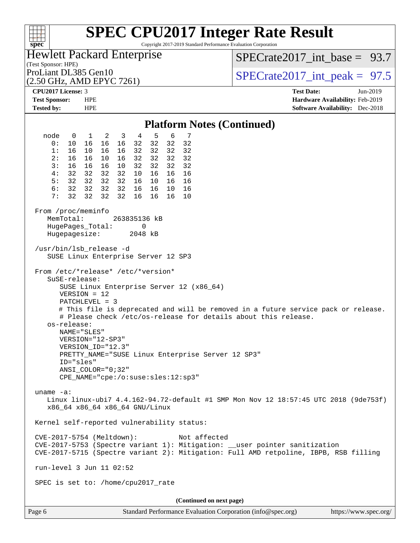Copyright 2017-2019 Standard Performance Evaluation Corporation

(Test Sponsor: HPE) Hewlett Packard Enterprise (2.50 GHz, AMD EPYC 7261) ProLiant DL385 Gen10  $SPECTR_{26} \times S_{26}$  SPECrate2017 int\_peak = 97.5 SPECrate2017 int\_base =  $93.7$ **[CPU2017 License:](http://www.spec.org/auto/cpu2017/Docs/result-fields.html#CPU2017License)** 3 **[Test Date:](http://www.spec.org/auto/cpu2017/Docs/result-fields.html#TestDate)** Jun-2019 **[Test Sponsor:](http://www.spec.org/auto/cpu2017/Docs/result-fields.html#TestSponsor)** HPE **[Hardware Availability:](http://www.spec.org/auto/cpu2017/Docs/result-fields.html#HardwareAvailability)** Feb-2019 **[Tested by:](http://www.spec.org/auto/cpu2017/Docs/result-fields.html#Testedby)** HPE **[Software Availability:](http://www.spec.org/auto/cpu2017/Docs/result-fields.html#SoftwareAvailability)** Dec-2018 **[Platform Notes \(Continued\)](http://www.spec.org/auto/cpu2017/Docs/result-fields.html#PlatformNotes)** node 0 1 2 3 4 5 6 7 0: 10 16 16 16 32 32 32 32 1: 16 10 16 16 32 32 32 32 2: 16 16 10 16 32 32 32 32 3: 16 16 16 10 32 32 32 32 4: 32 32 32 32 10 16 16 16 5: 32 32 32 32 16 10 16 16 6: 32 32 32 32 16 16 10 16 7: 32 32 32 32 16 16 16 10 From /proc/meminfo MemTotal: 263835136 kB HugePages\_Total: 0 Hugepagesize: 2048 kB /usr/bin/lsb\_release -d SUSE Linux Enterprise Server 12 SP3 From /etc/\*release\* /etc/\*version\* SuSE-release: SUSE Linux Enterprise Server 12 (x86\_64) VERSION = 12 PATCHLEVEL = 3 # This file is deprecated and will be removed in a future service pack or release. # Please check /etc/os-release for details about this release. os-release: NAME="SLES" VERSION="12-SP3" VERSION\_ID="12.3" PRETTY\_NAME="SUSE Linux Enterprise Server 12 SP3" ID="sles" ANSI\_COLOR="0;32" CPE\_NAME="cpe:/o:suse:sles:12:sp3" uname -a: Linux linux-ubi7 4.4.162-94.72-default #1 SMP Mon Nov 12 18:57:45 UTC 2018 (9de753f) x86\_64 x86\_64 x86\_64 GNU/Linux Kernel self-reported vulnerability status: CVE-2017-5754 (Meltdown): Not affected CVE-2017-5753 (Spectre variant 1): Mitigation: \_\_user pointer sanitization CVE-2017-5715 (Spectre variant 2): Mitigation: Full AMD retpoline, IBPB, RSB filling run-level 3 Jun 11 02:52 SPEC is set to: /home/cpu2017\_rate **(Continued on next page)**

**[spec](http://www.spec.org/)**

 $+\!\!+\!\!$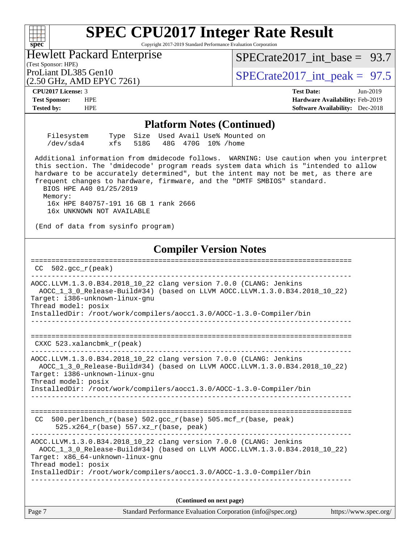Copyright 2017-2019 Standard Performance Evaluation Corporation

(Test Sponsor: HPE) Hewlett Packard Enterprise

SPECrate2017 int\_base =  $93.7$ 

(2.50 GHz, AMD EPYC 7261)

ProLiant DL385 Gen10  $SPECTA = 97.5$ <br>SPECrate2017 int\_peak = 97.5

**[spec](http://www.spec.org/)**

 $+\ +$ 

**[CPU2017 License:](http://www.spec.org/auto/cpu2017/Docs/result-fields.html#CPU2017License)** 3 **[Test Date:](http://www.spec.org/auto/cpu2017/Docs/result-fields.html#TestDate)** Jun-2019 **[Test Sponsor:](http://www.spec.org/auto/cpu2017/Docs/result-fields.html#TestSponsor)** HPE **[Hardware Availability:](http://www.spec.org/auto/cpu2017/Docs/result-fields.html#HardwareAvailability)** Feb-2019 **[Tested by:](http://www.spec.org/auto/cpu2017/Docs/result-fields.html#Testedby)** HPE **[Software Availability:](http://www.spec.org/auto/cpu2017/Docs/result-fields.html#SoftwareAvailability)** Dec-2018

#### **[Platform Notes \(Continued\)](http://www.spec.org/auto/cpu2017/Docs/result-fields.html#PlatformNotes)**

| Filesystem |  |  | Type Size Used Avail Use% Mounted on |  |
|------------|--|--|--------------------------------------|--|
| /dev/sda4  |  |  | xfs 518G 48G 470G 10% / home         |  |

 Additional information from dmidecode follows. WARNING: Use caution when you interpret this section. The 'dmidecode' program reads system data which is "intended to allow hardware to be accurately determined", but the intent may not be met, as there are frequent changes to hardware, firmware, and the "DMTF SMBIOS" standard.

 BIOS HPE A40 01/25/2019 Memory:

 16x HPE 840757-191 16 GB 1 rank 2666 16x UNKNOWN NOT AVAILABLE

(End of data from sysinfo program)

### **[Compiler Version Notes](http://www.spec.org/auto/cpu2017/Docs/result-fields.html#CompilerVersionNotes)**

============================================================================== CC 502.gcc\_r(peak) ------------------------------------------------------------------------------ AOCC.LLVM.1.3.0.B34.2018\_10\_22 clang version 7.0.0 (CLANG: Jenkins AOCC\_1\_3\_0\_Release-Build#34) (based on LLVM AOCC.LLVM.1.3.0.B34.2018\_10\_22) Target: i386-unknown-linux-gnu Thread model: posix InstalledDir: /root/work/compilers/aocc1.3.0/AOCC-1.3.0-Compiler/bin ------------------------------------------------------------------------------ ============================================================================== CXXC 523.xalancbmk\_r(peak) ------------------------------------------------------------------------------ AOCC.LLVM.1.3.0.B34.2018\_10\_22 clang version 7.0.0 (CLANG: Jenkins AOCC\_1\_3\_0\_Release-Build#34) (based on LLVM AOCC.LLVM.1.3.0.B34.2018\_10\_22) Target: i386-unknown-linux-gnu Thread model: posix InstalledDir: /root/work/compilers/aocc1.3.0/AOCC-1.3.0-Compiler/bin ------------------------------------------------------------------------------ ============================================================================== CC 500.perlbench\_r(base)  $502.\text{gcc_r}$ (base)  $505.\text{mcf_r}$ (base, peak) 525.x264\_r(base) 557.xz\_r(base, peak) ------------------------------------------------------------------------------ AOCC.LLVM.1.3.0.B34.2018\_10\_22 clang version 7.0.0 (CLANG: Jenkins AOCC\_1\_3\_0\_Release-Build#34) (based on LLVM AOCC.LLVM.1.3.0.B34.2018\_10\_22) Target: x86\_64-unknown-linux-gnu Thread model: posix InstalledDir: /root/work/compilers/aocc1.3.0/AOCC-1.3.0-Compiler/bin ------------------------------------------------------------------------------

**(Continued on next page)**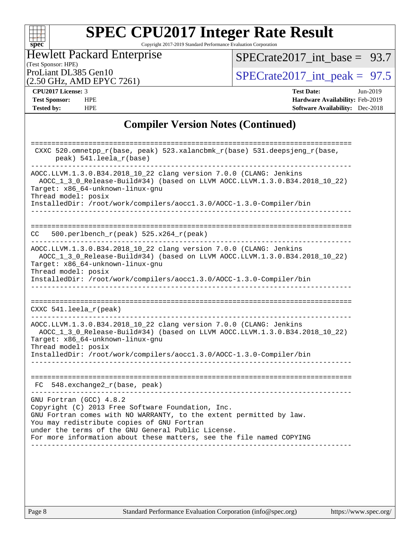#### **[spec](http://www.spec.org/)**

# **[SPEC CPU2017 Integer Rate Result](http://www.spec.org/auto/cpu2017/Docs/result-fields.html#SPECCPU2017IntegerRateResult)**

Copyright 2017-2019 Standard Performance Evaluation Corporation

### (Test Sponsor: HPE) Hewlett Packard Enterprise (2.50 GHz, AMD EPYC 7261)

 $SPECTate2017\_int\_base = 93.7$ 

ProLiant DL385 Gen10<br>  $\text{SPECrate2017\_int\_peak} = 97.5$ 

| <b>CPU2017 License: 3</b> |  |
|---------------------------|--|

**[CPU2017 License:](http://www.spec.org/auto/cpu2017/Docs/result-fields.html#CPU2017License)** 3 **[Test Date:](http://www.spec.org/auto/cpu2017/Docs/result-fields.html#TestDate)** Jun-2019 **[Test Sponsor:](http://www.spec.org/auto/cpu2017/Docs/result-fields.html#TestSponsor)** HPE **[Hardware Availability:](http://www.spec.org/auto/cpu2017/Docs/result-fields.html#HardwareAvailability)** Feb-2019 **[Tested by:](http://www.spec.org/auto/cpu2017/Docs/result-fields.html#Testedby)** HPE **[Software Availability:](http://www.spec.org/auto/cpu2017/Docs/result-fields.html#SoftwareAvailability)** Dec-2018

### **[Compiler Version Notes \(Continued\)](http://www.spec.org/auto/cpu2017/Docs/result-fields.html#CompilerVersionNotes)**

|     | CXXC 520.omnetpp_r(base, peak) 523.xalancbmk_r(base) 531.deepsjeng_r(base,<br>peak) 541.leela_r(base)                                                                                                                                                                                                                           |
|-----|---------------------------------------------------------------------------------------------------------------------------------------------------------------------------------------------------------------------------------------------------------------------------------------------------------------------------------|
|     | AOCC.LLVM.1.3.0.B34.2018_10_22 clang version 7.0.0 (CLANG: Jenkins<br>AOCC_1_3_0_Release-Build#34) (based on LLVM AOCC.LLVM.1.3.0.B34.2018_10_22)<br>Target: x86_64-unknown-linux-gnu<br>Thread model: posix<br>InstalledDir: /root/work/compilers/aoccl.3.0/AOCC-1.3.0-Compiler/bin                                            |
| CC. | ====================<br>500.perlbench_r(peak) 525.x264_r(peak)                                                                                                                                                                                                                                                                  |
|     | AOCC.LLVM.1.3.0.B34.2018_10_22 clang version 7.0.0 (CLANG: Jenkins<br>AOCC_1_3_0_Release-Build#34) (based on LLVM AOCC.LLVM.1.3.0.B34.2018_10_22)<br>Target: x86_64-unknown-linux-gnu<br>Thread model: posix<br>InstalledDir: /root/work/compilers/aoccl.3.0/AOCC-1.3.0-Compiler/bin                                            |
|     |                                                                                                                                                                                                                                                                                                                                 |
|     | CXXC $541.$ leela_r(peak)                                                                                                                                                                                                                                                                                                       |
|     | AOCC.LLVM.1.3.0.B34.2018_10_22 clang version 7.0.0 (CLANG: Jenkins<br>AOCC_1_3_0_Release-Build#34) (based on LLVM AOCC.LLVM.1.3.0.B34.2018_10_22)<br>Target: x86_64-unknown-linux-gnu<br>Thread model: posix<br>InstalledDir: /root/work/compilers/aocc1.3.0/AOCC-1.3.0-Compiler/bin                                            |
|     |                                                                                                                                                                                                                                                                                                                                 |
|     | FC 548.exchange2_r(base, peak)                                                                                                                                                                                                                                                                                                  |
|     | GNU Fortran (GCC) 4.8.2<br>Copyright (C) 2013 Free Software Foundation, Inc.<br>GNU Fortran comes with NO WARRANTY, to the extent permitted by law.<br>You may redistribute copies of GNU Fortran<br>under the terms of the GNU General Public License.<br>For more information about these matters, see the file named COPYING |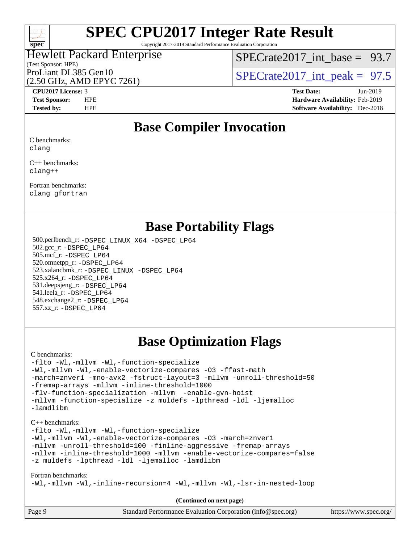

Copyright 2017-2019 Standard Performance Evaluation Corporation

### (Test Sponsor: HPE) Hewlett Packard Enterprise (2.50 GHz, AMD EPYC 7261)

[SPECrate2017\\_int\\_base =](http://www.spec.org/auto/cpu2017/Docs/result-fields.html#SPECrate2017intbase) 93.7

ProLiant DL385 Gen10  $SPECTR_{26} \times S_{26}$  SPECrate2017 int\_peak = 97.5

**[CPU2017 License:](http://www.spec.org/auto/cpu2017/Docs/result-fields.html#CPU2017License)** 3 **[Test Date:](http://www.spec.org/auto/cpu2017/Docs/result-fields.html#TestDate)** Jun-2019 **[Test Sponsor:](http://www.spec.org/auto/cpu2017/Docs/result-fields.html#TestSponsor)** HPE **[Hardware Availability:](http://www.spec.org/auto/cpu2017/Docs/result-fields.html#HardwareAvailability)** Feb-2019 **[Tested by:](http://www.spec.org/auto/cpu2017/Docs/result-fields.html#Testedby)** HPE **[Software Availability:](http://www.spec.org/auto/cpu2017/Docs/result-fields.html#SoftwareAvailability)** Dec-2018

### **[Base Compiler Invocation](http://www.spec.org/auto/cpu2017/Docs/result-fields.html#BaseCompilerInvocation)**

[C benchmarks:](http://www.spec.org/auto/cpu2017/Docs/result-fields.html#Cbenchmarks) [clang](http://www.spec.org/cpu2017/results/res2019q3/cpu2017-20190612-15347.flags.html#user_CCbase_clang-c)

[C++ benchmarks:](http://www.spec.org/auto/cpu2017/Docs/result-fields.html#CXXbenchmarks) [clang++](http://www.spec.org/cpu2017/results/res2019q3/cpu2017-20190612-15347.flags.html#user_CXXbase_clang-cpp)

[Fortran benchmarks](http://www.spec.org/auto/cpu2017/Docs/result-fields.html#Fortranbenchmarks): [clang](http://www.spec.org/cpu2017/results/res2019q3/cpu2017-20190612-15347.flags.html#user_FCbase_clang-c) [gfortran](http://www.spec.org/cpu2017/results/res2019q3/cpu2017-20190612-15347.flags.html#user_FCbase_aocc-gfortran_128c91a56d61ddb07404721e65b8f9498c31a443dacbd3b7f212891090eca86e2d099b520f75b99e9e8ac4fdec01f4d15f0b65e47123ec4c42b0759045731a1f)

### **[Base Portability Flags](http://www.spec.org/auto/cpu2017/Docs/result-fields.html#BasePortabilityFlags)**

 500.perlbench\_r: [-DSPEC\\_LINUX\\_X64](http://www.spec.org/cpu2017/results/res2019q3/cpu2017-20190612-15347.flags.html#b500.perlbench_r_basePORTABILITY_DSPEC_LINUX_X64) [-DSPEC\\_LP64](http://www.spec.org/cpu2017/results/res2019q3/cpu2017-20190612-15347.flags.html#b500.perlbench_r_baseEXTRA_PORTABILITY_DSPEC_LP64) 502.gcc\_r: [-DSPEC\\_LP64](http://www.spec.org/cpu2017/results/res2019q3/cpu2017-20190612-15347.flags.html#suite_baseEXTRA_PORTABILITY502_gcc_r_DSPEC_LP64) 505.mcf\_r: [-DSPEC\\_LP64](http://www.spec.org/cpu2017/results/res2019q3/cpu2017-20190612-15347.flags.html#suite_baseEXTRA_PORTABILITY505_mcf_r_DSPEC_LP64) 520.omnetpp\_r: [-DSPEC\\_LP64](http://www.spec.org/cpu2017/results/res2019q3/cpu2017-20190612-15347.flags.html#suite_baseEXTRA_PORTABILITY520_omnetpp_r_DSPEC_LP64) 523.xalancbmk\_r: [-DSPEC\\_LINUX](http://www.spec.org/cpu2017/results/res2019q3/cpu2017-20190612-15347.flags.html#b523.xalancbmk_r_basePORTABILITY_DSPEC_LINUX) [-DSPEC\\_LP64](http://www.spec.org/cpu2017/results/res2019q3/cpu2017-20190612-15347.flags.html#suite_baseEXTRA_PORTABILITY523_xalancbmk_r_DSPEC_LP64) 525.x264\_r: [-DSPEC\\_LP64](http://www.spec.org/cpu2017/results/res2019q3/cpu2017-20190612-15347.flags.html#suite_baseEXTRA_PORTABILITY525_x264_r_DSPEC_LP64) 531.deepsjeng\_r: [-DSPEC\\_LP64](http://www.spec.org/cpu2017/results/res2019q3/cpu2017-20190612-15347.flags.html#suite_baseEXTRA_PORTABILITY531_deepsjeng_r_DSPEC_LP64) 541.leela\_r: [-DSPEC\\_LP64](http://www.spec.org/cpu2017/results/res2019q3/cpu2017-20190612-15347.flags.html#suite_baseEXTRA_PORTABILITY541_leela_r_DSPEC_LP64) 548.exchange2\_r: [-DSPEC\\_LP64](http://www.spec.org/cpu2017/results/res2019q3/cpu2017-20190612-15347.flags.html#suite_baseEXTRA_PORTABILITY548_exchange2_r_DSPEC_LP64) 557.xz\_r: [-DSPEC\\_LP64](http://www.spec.org/cpu2017/results/res2019q3/cpu2017-20190612-15347.flags.html#suite_baseEXTRA_PORTABILITY557_xz_r_DSPEC_LP64)

## **[Base Optimization Flags](http://www.spec.org/auto/cpu2017/Docs/result-fields.html#BaseOptimizationFlags)**

#### [C benchmarks](http://www.spec.org/auto/cpu2017/Docs/result-fields.html#Cbenchmarks):

[-flto](http://www.spec.org/cpu2017/results/res2019q3/cpu2017-20190612-15347.flags.html#user_CCbase_aocc-flto) [-Wl,-mllvm -Wl,-function-specialize](http://www.spec.org/cpu2017/results/res2019q3/cpu2017-20190612-15347.flags.html#user_CCbase_function-specialize_7e7e661e57922243ee67c9a1251cb8910e607325179a0ce7f2884e09a6f5d4a5ef0ae4f37e8a2a11c95fc48e931f06dc2b6016f14b511fcb441e048bef1b065a) [-Wl,-mllvm -Wl,-enable-vectorize-compares](http://www.spec.org/cpu2017/results/res2019q3/cpu2017-20190612-15347.flags.html#user_CCbase_F-dragonegg-llvm-enable-vectorize-compares_d02a6cfb1abbc6ce11aae0c049416be17ac802551f3363922a2b85cb6a6b17f56f4db56b7e5ab5c95e0270440eb2c9ce5cb2462b04648dbb17284621d0c6e013) [-O3](http://www.spec.org/cpu2017/results/res2019q3/cpu2017-20190612-15347.flags.html#user_CCbase_F-O3) [-ffast-math](http://www.spec.org/cpu2017/results/res2019q3/cpu2017-20190612-15347.flags.html#user_CCbase_aocc-ffast-math) [-march=znver1](http://www.spec.org/cpu2017/results/res2019q3/cpu2017-20190612-15347.flags.html#user_CCbase_aocc-march) [-mno-avx2](http://www.spec.org/cpu2017/results/res2019q3/cpu2017-20190612-15347.flags.html#user_CCbase_F-mno-avx2) [-fstruct-layout=3](http://www.spec.org/cpu2017/results/res2019q3/cpu2017-20190612-15347.flags.html#user_CCbase_struct-layout) [-mllvm -unroll-threshold=50](http://www.spec.org/cpu2017/results/res2019q3/cpu2017-20190612-15347.flags.html#user_CCbase_unroll-threshold_458874500b2c105d6d5cb4d7a611c40e2b16e9e3d26b355fea72d644c3673b4de4b3932662f0ed3dbec75c491a13da2d2ca81180bd779dc531083ef1e1e549dc) [-fremap-arrays](http://www.spec.org/cpu2017/results/res2019q3/cpu2017-20190612-15347.flags.html#user_CCbase_F-fremap-arrays) [-mllvm -inline-threshold=1000](http://www.spec.org/cpu2017/results/res2019q3/cpu2017-20190612-15347.flags.html#user_CCbase_dragonegg-llvm-inline-threshold_b7832241b0a6397e4ecdbaf0eb7defdc10f885c2a282fa3240fdc99844d543fda39cf8a4a9dccf68cf19b5438ac3b455264f478df15da0f4988afa40d8243bab) [-flv-function-specialization](http://www.spec.org/cpu2017/results/res2019q3/cpu2017-20190612-15347.flags.html#user_CCbase_F-flv-function-specialization) [-mllvm -enable-gvn-hoist](http://www.spec.org/cpu2017/results/res2019q3/cpu2017-20190612-15347.flags.html#user_CCbase_F-enable-gvn-hoist_98f0171d4f818d7f97896885cc39145d9c6ec6ecaa45bb289c3a12839072136e4af160d9bd95e903e60fee72c4a35db75799b8a57e2b8d1ccd3b6c61417e660c) [-mllvm -function-specialize](http://www.spec.org/cpu2017/results/res2019q3/cpu2017-20190612-15347.flags.html#user_CCbase_function-specialize_233b3bdba86027f1b094368157e481c5bc59f40286dc25bfadc1858dcd5745c24fd30d5f188710db7fea399bcc9f44a80b3ce3aacc70a8870250c3ae5e1f35b8) [-z muldefs](http://www.spec.org/cpu2017/results/res2019q3/cpu2017-20190612-15347.flags.html#user_CCbase_aocc-muldefs) [-lpthread](http://www.spec.org/cpu2017/results/res2019q3/cpu2017-20190612-15347.flags.html#user_CCbase_F-lpthread) [-ldl](http://www.spec.org/cpu2017/results/res2019q3/cpu2017-20190612-15347.flags.html#user_CCbase_F-ldl) [-ljemalloc](http://www.spec.org/cpu2017/results/res2019q3/cpu2017-20190612-15347.flags.html#user_CCbase_jemalloc-lib) [-lamdlibm](http://www.spec.org/cpu2017/results/res2019q3/cpu2017-20190612-15347.flags.html#user_CCbase_F-lamdlibm)

#### [C++ benchmarks:](http://www.spec.org/auto/cpu2017/Docs/result-fields.html#CXXbenchmarks)

[-flto](http://www.spec.org/cpu2017/results/res2019q3/cpu2017-20190612-15347.flags.html#user_CXXbase_aocc-flto) [-Wl,-mllvm -Wl,-function-specialize](http://www.spec.org/cpu2017/results/res2019q3/cpu2017-20190612-15347.flags.html#user_CXXbase_function-specialize_7e7e661e57922243ee67c9a1251cb8910e607325179a0ce7f2884e09a6f5d4a5ef0ae4f37e8a2a11c95fc48e931f06dc2b6016f14b511fcb441e048bef1b065a) [-Wl,-mllvm -Wl,-enable-vectorize-compares](http://www.spec.org/cpu2017/results/res2019q3/cpu2017-20190612-15347.flags.html#user_CXXbase_F-dragonegg-llvm-enable-vectorize-compares_d02a6cfb1abbc6ce11aae0c049416be17ac802551f3363922a2b85cb6a6b17f56f4db56b7e5ab5c95e0270440eb2c9ce5cb2462b04648dbb17284621d0c6e013) [-O3](http://www.spec.org/cpu2017/results/res2019q3/cpu2017-20190612-15347.flags.html#user_CXXbase_F-O3) [-march=znver1](http://www.spec.org/cpu2017/results/res2019q3/cpu2017-20190612-15347.flags.html#user_CXXbase_aocc-march) [-mllvm -unroll-threshold=100](http://www.spec.org/cpu2017/results/res2019q3/cpu2017-20190612-15347.flags.html#user_CXXbase_unroll-threshold_2755d0c78138845d361fa1543e3a063fffa198df9b3edf0cfb856bbc88a81e1769b12ac7a550c5d35197be55360db1a3f95a8d1304df999456cabf5120c45168) [-finline-aggressive](http://www.spec.org/cpu2017/results/res2019q3/cpu2017-20190612-15347.flags.html#user_CXXbase_F-finline-aggressive) [-fremap-arrays](http://www.spec.org/cpu2017/results/res2019q3/cpu2017-20190612-15347.flags.html#user_CXXbase_F-fremap-arrays) [-mllvm -inline-threshold=1000](http://www.spec.org/cpu2017/results/res2019q3/cpu2017-20190612-15347.flags.html#user_CXXbase_dragonegg-llvm-inline-threshold_b7832241b0a6397e4ecdbaf0eb7defdc10f885c2a282fa3240fdc99844d543fda39cf8a4a9dccf68cf19b5438ac3b455264f478df15da0f4988afa40d8243bab) [-mllvm -enable-vectorize-compares=false](http://www.spec.org/cpu2017/results/res2019q3/cpu2017-20190612-15347.flags.html#user_CXXbase_disable-vectorize-compares_744e96dfaf0e6a0a8f558ad1f5117f7c029494e749ba2ce0369b998eced2f14f36c9acf9c44ff6efbd2349df21357d03f05694bcf5c1bda7e49ae93e191b7f84) [-z muldefs](http://www.spec.org/cpu2017/results/res2019q3/cpu2017-20190612-15347.flags.html#user_CXXbase_aocc-muldefs) [-lpthread](http://www.spec.org/cpu2017/results/res2019q3/cpu2017-20190612-15347.flags.html#user_CXXbase_F-lpthread) [-ldl](http://www.spec.org/cpu2017/results/res2019q3/cpu2017-20190612-15347.flags.html#user_CXXbase_F-ldl) [-ljemalloc](http://www.spec.org/cpu2017/results/res2019q3/cpu2017-20190612-15347.flags.html#user_CXXbase_jemalloc-lib) [-lamdlibm](http://www.spec.org/cpu2017/results/res2019q3/cpu2017-20190612-15347.flags.html#user_CXXbase_F-lamdlibm)

#### [Fortran benchmarks](http://www.spec.org/auto/cpu2017/Docs/result-fields.html#Fortranbenchmarks):

[-Wl,-mllvm -Wl,-inline-recursion=4](http://www.spec.org/cpu2017/results/res2019q3/cpu2017-20190612-15347.flags.html#user_FCbase_inline-recursion) [-Wl,-mllvm -Wl,-lsr-in-nested-loop](http://www.spec.org/cpu2017/results/res2019q3/cpu2017-20190612-15347.flags.html#user_FCbase_lsr-in-nested-loop_de4bc7331d07d857538198a5cc9592bc905d78a18065d49b9acfd1f777ae9eca5716aaa3e0e674a48e2e5ec9dad184ee0c682635ad7eff4181b32ab748bf2f49)

**(Continued on next page)**

| Page 9<br>Standard Performance Evaluation Corporation (info@spec.org)<br>https://www.spec.org/ |  |
|------------------------------------------------------------------------------------------------|--|
|------------------------------------------------------------------------------------------------|--|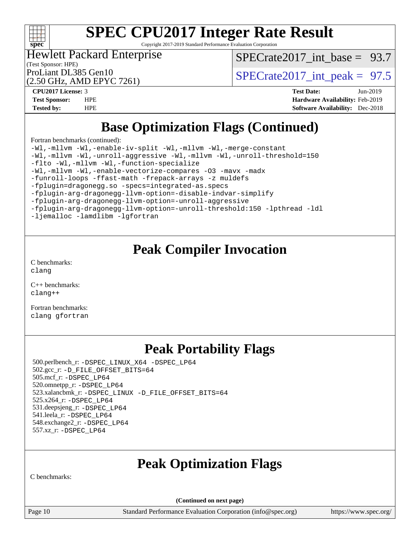

Copyright 2017-2019 Standard Performance Evaluation Corporation

Hewlett Packard Enterprise

[SPECrate2017\\_int\\_base =](http://www.spec.org/auto/cpu2017/Docs/result-fields.html#SPECrate2017intbase) 93.7

(Test Sponsor: HPE) (2.50 GHz, AMD EPYC 7261)

ProLiant DL385 Gen10  $SPECTR_{26} \times S_{26}$  SPECrate2017 int\_peak = 97.5

**[CPU2017 License:](http://www.spec.org/auto/cpu2017/Docs/result-fields.html#CPU2017License)** 3 **[Test Date:](http://www.spec.org/auto/cpu2017/Docs/result-fields.html#TestDate)** Jun-2019 **[Test Sponsor:](http://www.spec.org/auto/cpu2017/Docs/result-fields.html#TestSponsor)** HPE **[Hardware Availability:](http://www.spec.org/auto/cpu2017/Docs/result-fields.html#HardwareAvailability)** Feb-2019 **[Tested by:](http://www.spec.org/auto/cpu2017/Docs/result-fields.html#Testedby)** HPE **[Software Availability:](http://www.spec.org/auto/cpu2017/Docs/result-fields.html#SoftwareAvailability)** Dec-2018

# **[Base Optimization Flags \(Continued\)](http://www.spec.org/auto/cpu2017/Docs/result-fields.html#BaseOptimizationFlags)**

[Fortran benchmarks](http://www.spec.org/auto/cpu2017/Docs/result-fields.html#Fortranbenchmarks) (continued):

[-Wl,-mllvm -Wl,-enable-iv-split](http://www.spec.org/cpu2017/results/res2019q3/cpu2017-20190612-15347.flags.html#user_FCbase_F-enable-iv-split_efc18925ba63acc4bb74cb6e43d0987b7b3cf01924ad910e2a6edbbbd0f8b582e31f1ee7ccede3f08176ef2ad41c69507170fb32301bf478d45ceb38dfb89c5e) [-Wl,-mllvm -Wl,-merge-constant](http://www.spec.org/cpu2017/results/res2019q3/cpu2017-20190612-15347.flags.html#user_FCbase_F-merge-constant_4da7ce7066dbf6aeedd6e402e881995ecd00a0f791d823a21821304d63df84dd432b8e11810b55775a848292e22a82476b2bb8e0210dba35f302f6d024707545) [-Wl,-mllvm -Wl,-unroll-aggressive](http://www.spec.org/cpu2017/results/res2019q3/cpu2017-20190612-15347.flags.html#user_FCbase_unroll-aggressive_c7e0d1d612ac2206a26a514336404be7c2ff24f0b59559eb6150088bb5ae43d8e2a355905c83fdb33fc811449d17c79d9988d106c8a5e6991601804b0485464f) [-Wl,-mllvm -Wl,-unroll-threshold=150](http://www.spec.org/cpu2017/results/res2019q3/cpu2017-20190612-15347.flags.html#user_FCbase_unroll-threshold_e16fcb933aecb468ee1f7c629480d4e6a5b466c088ee037fc667a080fe14c2528dc87c7810f94747bbc0ee044752ba15ee4e18ca1a350ffe44795e3a79675ef5) [-flto](http://www.spec.org/cpu2017/results/res2019q3/cpu2017-20190612-15347.flags.html#user_FCbase_aocc-flto) [-Wl,-mllvm -Wl,-function-specialize](http://www.spec.org/cpu2017/results/res2019q3/cpu2017-20190612-15347.flags.html#user_FCbase_function-specialize_7e7e661e57922243ee67c9a1251cb8910e607325179a0ce7f2884e09a6f5d4a5ef0ae4f37e8a2a11c95fc48e931f06dc2b6016f14b511fcb441e048bef1b065a) [-Wl,-mllvm -Wl,-enable-vectorize-compares](http://www.spec.org/cpu2017/results/res2019q3/cpu2017-20190612-15347.flags.html#user_FCbase_F-dragonegg-llvm-enable-vectorize-compares_d02a6cfb1abbc6ce11aae0c049416be17ac802551f3363922a2b85cb6a6b17f56f4db56b7e5ab5c95e0270440eb2c9ce5cb2462b04648dbb17284621d0c6e013) [-O3](http://www.spec.org/cpu2017/results/res2019q3/cpu2017-20190612-15347.flags.html#user_FCbase_F-O3) [-mavx](http://www.spec.org/cpu2017/results/res2019q3/cpu2017-20190612-15347.flags.html#user_FCbase_F-mavx) [-madx](http://www.spec.org/cpu2017/results/res2019q3/cpu2017-20190612-15347.flags.html#user_FCbase_F-madx) [-funroll-loops](http://www.spec.org/cpu2017/results/res2019q3/cpu2017-20190612-15347.flags.html#user_FCbase_aocc-unroll-loops) [-ffast-math](http://www.spec.org/cpu2017/results/res2019q3/cpu2017-20190612-15347.flags.html#user_FCbase_aocc-ffast-math) [-frepack-arrays](http://www.spec.org/cpu2017/results/res2019q3/cpu2017-20190612-15347.flags.html#user_FCbase_F-frepack-arrays) [-z muldefs](http://www.spec.org/cpu2017/results/res2019q3/cpu2017-20190612-15347.flags.html#user_FCbase_aocc-muldefs) [-fplugin=dragonegg.so](http://www.spec.org/cpu2017/results/res2019q3/cpu2017-20190612-15347.flags.html#user_FCbase_plugin-DragonEgg) [-specs=integrated-as.specs](http://www.spec.org/cpu2017/results/res2019q3/cpu2017-20190612-15347.flags.html#user_FCbase_aocc-specs) [-fplugin-arg-dragonegg-llvm-option=-disable-indvar-simplify](http://www.spec.org/cpu2017/results/res2019q3/cpu2017-20190612-15347.flags.html#user_FCbase_F-disable-indvar-simplify_019306147abba0fe7fc015e5700c94ded485935ac501362d9c180223d6aa03792aa134eb82d14b1039a07ba479dabd755dda20c99200101975462e416227dcb7) [-fplugin-arg-dragonegg-llvm-option=-unroll-aggressive](http://www.spec.org/cpu2017/results/res2019q3/cpu2017-20190612-15347.flags.html#user_FCbase_unroll-aggressive_f8358ac8c8a6360a1ad593ce44545fe80d5f8ea44e3308fc4069865f2a2f09ca410212621bc4e894de0e1c99188bd73ba6ba257bbe1b3ed4b7d847fef56097c0) [-fplugin-arg-dragonegg-llvm-option=-unroll-threshold:150](http://www.spec.org/cpu2017/results/res2019q3/cpu2017-20190612-15347.flags.html#user_FCbase_unroll-threshold_6feb81b38f9dfb61d2e311cf8968cef102e03cc88ec0a0edc0fe4ce816e16a1a7c2dd61acfbb5f210695815a91d3a8192f9c545c0958681ec67120d107d728a2) [-lpthread](http://www.spec.org/cpu2017/results/res2019q3/cpu2017-20190612-15347.flags.html#user_FCbase_F-lpthread) [-ldl](http://www.spec.org/cpu2017/results/res2019q3/cpu2017-20190612-15347.flags.html#user_FCbase_F-ldl) [-ljemalloc](http://www.spec.org/cpu2017/results/res2019q3/cpu2017-20190612-15347.flags.html#user_FCbase_jemalloc-lib) [-lamdlibm](http://www.spec.org/cpu2017/results/res2019q3/cpu2017-20190612-15347.flags.html#user_FCbase_F-lamdlibm) [-lgfortran](http://www.spec.org/cpu2017/results/res2019q3/cpu2017-20190612-15347.flags.html#user_FCbase_F-lgfortran)

## **[Peak Compiler Invocation](http://www.spec.org/auto/cpu2017/Docs/result-fields.html#PeakCompilerInvocation)**

[C benchmarks](http://www.spec.org/auto/cpu2017/Docs/result-fields.html#Cbenchmarks): [clang](http://www.spec.org/cpu2017/results/res2019q3/cpu2017-20190612-15347.flags.html#user_CCpeak_clang-c)

[C++ benchmarks:](http://www.spec.org/auto/cpu2017/Docs/result-fields.html#CXXbenchmarks) [clang++](http://www.spec.org/cpu2017/results/res2019q3/cpu2017-20190612-15347.flags.html#user_CXXpeak_clang-cpp)

[Fortran benchmarks](http://www.spec.org/auto/cpu2017/Docs/result-fields.html#Fortranbenchmarks): [clang](http://www.spec.org/cpu2017/results/res2019q3/cpu2017-20190612-15347.flags.html#user_FCpeak_clang-c) [gfortran](http://www.spec.org/cpu2017/results/res2019q3/cpu2017-20190612-15347.flags.html#user_FCpeak_aocc-gfortran_128c91a56d61ddb07404721e65b8f9498c31a443dacbd3b7f212891090eca86e2d099b520f75b99e9e8ac4fdec01f4d15f0b65e47123ec4c42b0759045731a1f)

# **[Peak Portability Flags](http://www.spec.org/auto/cpu2017/Docs/result-fields.html#PeakPortabilityFlags)**

 500.perlbench\_r: [-DSPEC\\_LINUX\\_X64](http://www.spec.org/cpu2017/results/res2019q3/cpu2017-20190612-15347.flags.html#b500.perlbench_r_peakPORTABILITY_DSPEC_LINUX_X64) [-DSPEC\\_LP64](http://www.spec.org/cpu2017/results/res2019q3/cpu2017-20190612-15347.flags.html#b500.perlbench_r_peakEXTRA_PORTABILITY_DSPEC_LP64) 502.gcc\_r: [-D\\_FILE\\_OFFSET\\_BITS=64](http://www.spec.org/cpu2017/results/res2019q3/cpu2017-20190612-15347.flags.html#user_peakEXTRA_PORTABILITY502_gcc_r_F-D_FILE_OFFSET_BITS_5ae949a99b284ddf4e95728d47cb0843d81b2eb0e18bdfe74bbf0f61d0b064f4bda2f10ea5eb90e1dcab0e84dbc592acfc5018bc955c18609f94ddb8d550002c) 505.mcf\_r: [-DSPEC\\_LP64](http://www.spec.org/cpu2017/results/res2019q3/cpu2017-20190612-15347.flags.html#suite_peakEXTRA_PORTABILITY505_mcf_r_DSPEC_LP64) 520.omnetpp\_r: [-DSPEC\\_LP64](http://www.spec.org/cpu2017/results/res2019q3/cpu2017-20190612-15347.flags.html#suite_peakEXTRA_PORTABILITY520_omnetpp_r_DSPEC_LP64) 523.xalancbmk\_r: [-DSPEC\\_LINUX](http://www.spec.org/cpu2017/results/res2019q3/cpu2017-20190612-15347.flags.html#b523.xalancbmk_r_peakPORTABILITY_DSPEC_LINUX) [-D\\_FILE\\_OFFSET\\_BITS=64](http://www.spec.org/cpu2017/results/res2019q3/cpu2017-20190612-15347.flags.html#user_peakEXTRA_PORTABILITY523_xalancbmk_r_F-D_FILE_OFFSET_BITS_5ae949a99b284ddf4e95728d47cb0843d81b2eb0e18bdfe74bbf0f61d0b064f4bda2f10ea5eb90e1dcab0e84dbc592acfc5018bc955c18609f94ddb8d550002c) 525.x264\_r: [-DSPEC\\_LP64](http://www.spec.org/cpu2017/results/res2019q3/cpu2017-20190612-15347.flags.html#suite_peakEXTRA_PORTABILITY525_x264_r_DSPEC_LP64) 531.deepsjeng\_r: [-DSPEC\\_LP64](http://www.spec.org/cpu2017/results/res2019q3/cpu2017-20190612-15347.flags.html#suite_peakEXTRA_PORTABILITY531_deepsjeng_r_DSPEC_LP64) 541.leela\_r: [-DSPEC\\_LP64](http://www.spec.org/cpu2017/results/res2019q3/cpu2017-20190612-15347.flags.html#suite_peakEXTRA_PORTABILITY541_leela_r_DSPEC_LP64) 548.exchange2\_r: [-DSPEC\\_LP64](http://www.spec.org/cpu2017/results/res2019q3/cpu2017-20190612-15347.flags.html#suite_peakEXTRA_PORTABILITY548_exchange2_r_DSPEC_LP64) 557.xz\_r: [-DSPEC\\_LP64](http://www.spec.org/cpu2017/results/res2019q3/cpu2017-20190612-15347.flags.html#suite_peakEXTRA_PORTABILITY557_xz_r_DSPEC_LP64)

# **[Peak Optimization Flags](http://www.spec.org/auto/cpu2017/Docs/result-fields.html#PeakOptimizationFlags)**

[C benchmarks:](http://www.spec.org/auto/cpu2017/Docs/result-fields.html#Cbenchmarks)

**(Continued on next page)**

Page 10 Standard Performance Evaluation Corporation [\(info@spec.org\)](mailto:info@spec.org) <https://www.spec.org/>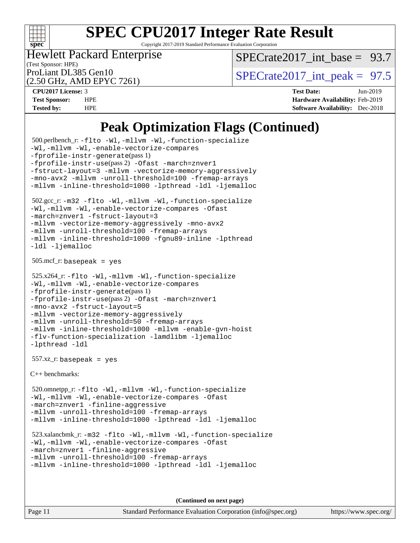

Copyright 2017-2019 Standard Performance Evaluation Corporation

(Test Sponsor: HPE) Hewlett Packard Enterprise

SPECrate2017 int\_base =  $93.7$ 

(2.50 GHz, AMD EPYC 7261)

ProLiant DL385 Gen10  $SPECTR_{26} \times S_{26}$  SPECrate2017 int\_peak = 97.5

**[CPU2017 License:](http://www.spec.org/auto/cpu2017/Docs/result-fields.html#CPU2017License)** 3 **[Test Date:](http://www.spec.org/auto/cpu2017/Docs/result-fields.html#TestDate)** Jun-2019 **[Test Sponsor:](http://www.spec.org/auto/cpu2017/Docs/result-fields.html#TestSponsor)** HPE **[Hardware Availability:](http://www.spec.org/auto/cpu2017/Docs/result-fields.html#HardwareAvailability)** Feb-2019 **[Tested by:](http://www.spec.org/auto/cpu2017/Docs/result-fields.html#Testedby)** HPE **[Software Availability:](http://www.spec.org/auto/cpu2017/Docs/result-fields.html#SoftwareAvailability)** Dec-2018

## **[Peak Optimization Flags \(Continued\)](http://www.spec.org/auto/cpu2017/Docs/result-fields.html#PeakOptimizationFlags)**

```
 500.perlbench_r: -flto -Wl,-mllvm -Wl,-function-specialize
-Wl,-mllvm -Wl,-enable-vectorize-compares
-fprofile-instr-generate(pass 1)
-fprofile-instr-use(pass 2) -Ofast -march=znver1
-fstruct-layout=3 -mllvm -vectorize-memory-aggressively
-mno-avx2 -mllvm -unroll-threshold=100 -fremap-arrays
-mllvm -inline-threshold=1000 -lpthread -ldl -ljemalloc
 502.gcc_r: -m32 -flto -Wl,-mllvm -Wl,-function-specialize
-Wl,-mllvm -Wl,-enable-vectorize-compares -Ofast
-march=znver1 -fstruct-layout=3
-mllvm -vectorize-memory-aggressively -mno-avx2
-mllvm -unroll-threshold=100 -fremap-arrays
-mllvm -inline-threshold=1000 -fgnu89-inline -lpthread
-ldl -ljemalloc
 505.mcf_r: basepeak = yes
 525.x264_r: -flto -Wl,-mllvm -Wl,-function-specialize
-Wl,-mllvm -Wl,-enable-vectorize-compares
-fprofile-instr-generate(pass 1)
-fprofile-instr-use(pass 2) -Ofast -march=znver1
-mno-avx2 -fstruct-layout=5
-mllvm -vectorize-memory-aggressively
-mllvm -unroll-threshold=50 -fremap-arrays
-mllvm -inline-threshold=1000 -mllvm -enable-gvn-hoist
-flv-function-specialization -lamdlibm -ljemalloc
-lpthread -ldl
 557.xz_r: basepeak = yes
C++ benchmarks: 
 520.omnetpp_r: -flto -Wl,-mllvm -Wl,-function-specialize
-Wl,-mllvm -Wl,-enable-vectorize-compares -Ofast
-march=znver1 -finline-aggressive
-mllvm -unroll-threshold=100-fremap-arrays
-mllvm -inline-threshold=1000 -lpthread -ldl -ljemalloc
 523.xalancbmk_r: -m32 -flto -Wl,-mllvm -Wl,-function-specialize
-Wl,-mllvm -Wl,-enable-vectorize-compares -Ofast
-march=znver1 -finline-aggressive
-mllvm -unroll-threshold=100 -fremap-arrays
-mllvm -inline-threshold=1000 -lpthread -ldl -ljemalloc
```
**(Continued on next page)**